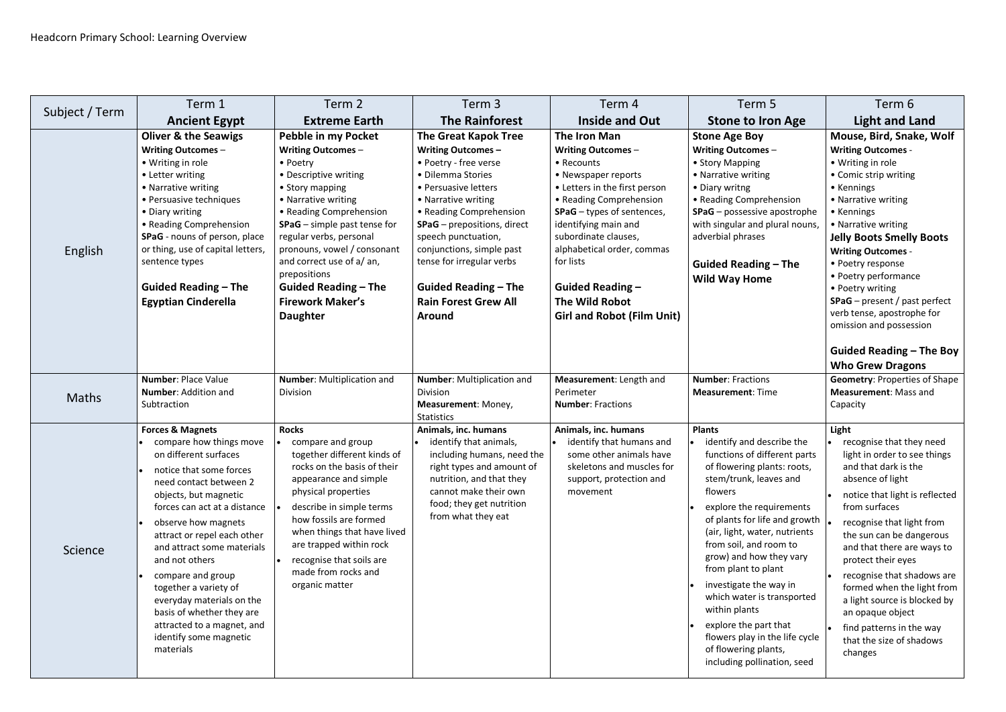| Subject / Term | Term 1                                                                                                                                                                                                                                                                                                                                                                                                                                                                           | Term 2                                                                                                                                                                                                                                                                                                                                                                                  | Term 3                                                                                                                                                                                                                                                                                                                                                                           | Term 4                                                                                                                                                                                                                                                                                                                                                       | Term 5                                                                                                                                                                                                                                                                                                                                                                                                                                                                                                              | Term 6                                                                                                                                                                                                                                                                                                                                                                                                                                                                   |
|----------------|----------------------------------------------------------------------------------------------------------------------------------------------------------------------------------------------------------------------------------------------------------------------------------------------------------------------------------------------------------------------------------------------------------------------------------------------------------------------------------|-----------------------------------------------------------------------------------------------------------------------------------------------------------------------------------------------------------------------------------------------------------------------------------------------------------------------------------------------------------------------------------------|----------------------------------------------------------------------------------------------------------------------------------------------------------------------------------------------------------------------------------------------------------------------------------------------------------------------------------------------------------------------------------|--------------------------------------------------------------------------------------------------------------------------------------------------------------------------------------------------------------------------------------------------------------------------------------------------------------------------------------------------------------|---------------------------------------------------------------------------------------------------------------------------------------------------------------------------------------------------------------------------------------------------------------------------------------------------------------------------------------------------------------------------------------------------------------------------------------------------------------------------------------------------------------------|--------------------------------------------------------------------------------------------------------------------------------------------------------------------------------------------------------------------------------------------------------------------------------------------------------------------------------------------------------------------------------------------------------------------------------------------------------------------------|
|                | <b>Ancient Egypt</b>                                                                                                                                                                                                                                                                                                                                                                                                                                                             | <b>Extreme Earth</b>                                                                                                                                                                                                                                                                                                                                                                    | <b>The Rainforest</b>                                                                                                                                                                                                                                                                                                                                                            | <b>Inside and Out</b>                                                                                                                                                                                                                                                                                                                                        | <b>Stone to Iron Age</b>                                                                                                                                                                                                                                                                                                                                                                                                                                                                                            | <b>Light and Land</b>                                                                                                                                                                                                                                                                                                                                                                                                                                                    |
| English        | <b>Oliver &amp; the Seawigs</b><br><b>Writing Outcomes -</b><br>• Writing in role<br>• Letter writing<br>• Narrative writing<br>• Persuasive techniques<br>• Diary writing<br>• Reading Comprehension<br>SPaG - nouns of person, place<br>or thing, use of capital letters,<br>sentence types<br><b>Guided Reading - The</b><br><b>Egyptian Cinderella</b>                                                                                                                       | <b>Pebble in my Pocket</b><br><b>Writing Outcomes -</b><br>• Poetry<br>• Descriptive writing<br>• Story mapping<br>• Narrative writing<br>• Reading Comprehension<br>$SPaG$ – simple past tense for<br>regular verbs, personal<br>pronouns, vowel / consonant<br>and correct use of a/ an,<br>prepositions<br><b>Guided Reading - The</b><br><b>Firework Maker's</b><br><b>Daughter</b> | <b>The Great Kapok Tree</b><br><b>Writing Outcomes-</b><br>• Poetry - free verse<br>• Dilemma Stories<br>• Persuasive letters<br>• Narrative writing<br>• Reading Comprehension<br>$SPaG$ – prepositions, direct<br>speech punctuation,<br>conjunctions, simple past<br>tense for irregular verbs<br><b>Guided Reading - The</b><br><b>Rain Forest Grew All</b><br><b>Around</b> | <b>The Iron Man</b><br><b>Writing Outcomes -</b><br>• Recounts<br>• Newspaper reports<br>• Letters in the first person<br>• Reading Comprehension<br>SPaG - types of sentences,<br>identifying main and<br>subordinate clauses,<br>alphabetical order, commas<br>for lists<br><b>Guided Reading -</b><br>The Wild Robot<br><b>Girl and Robot (Film Unit)</b> | <b>Stone Age Boy</b><br><b>Writing Outcomes -</b><br>• Story Mapping<br>• Narrative writing<br>• Diary writng<br>• Reading Comprehension<br>$SPaG - possessive apostrophic$<br>with singular and plural nouns,<br>adverbial phrases<br><b>Guided Reading - The</b><br><b>Wild Way Home</b>                                                                                                                                                                                                                          | Mouse, Bird, Snake, Wolf<br><b>Writing Outcomes -</b><br>• Writing in role<br>• Comic strip writing<br>• Kennings<br>• Narrative writing<br>• Kennings<br>• Narrative writing<br><b>Jelly Boots Smelly Boots</b><br><b>Writing Outcomes -</b><br>• Poetry response<br>• Poetry performance<br>• Poetry writing<br>$SPaG$ – present / past perfect<br>verb tense, apostrophe for<br>omission and possession<br><b>Guided Reading - The Boy</b><br><b>Who Grew Dragons</b> |
| <b>Maths</b>   | <b>Number: Place Value</b><br><b>Number: Addition and</b><br>Subtraction                                                                                                                                                                                                                                                                                                                                                                                                         | Number: Multiplication and<br>Division                                                                                                                                                                                                                                                                                                                                                  | <b>Number:</b> Multiplication and<br><b>Division</b><br>Measurement: Money,<br><b>Statistics</b>                                                                                                                                                                                                                                                                                 | Measurement: Length and<br>Perimeter<br><b>Number: Fractions</b>                                                                                                                                                                                                                                                                                             | <b>Number: Fractions</b><br><b>Measurement: Time</b>                                                                                                                                                                                                                                                                                                                                                                                                                                                                | <b>Geometry: Properties of Shape</b><br><b>Measurement: Mass and</b><br>Capacity                                                                                                                                                                                                                                                                                                                                                                                         |
| Science        | <b>Forces &amp; Magnets</b><br>compare how things move<br>on different surfaces<br>notice that some forces<br>need contact between 2<br>objects, but magnetic<br>forces can act at a distance<br>observe how magnets<br>attract or repel each other<br>and attract some materials<br>and not others<br>compare and group<br>together a variety of<br>everyday materials on the<br>basis of whether they are<br>attracted to a magnet, and<br>identify some magnetic<br>materials | <b>Rocks</b><br>compare and group<br>together different kinds of<br>rocks on the basis of their<br>appearance and simple<br>physical properties<br>describe in simple terms<br>how fossils are formed<br>when things that have lived<br>are trapped within rock<br>recognise that soils are<br>made from rocks and<br>organic matter                                                    | Animals, inc. humans<br>identify that animals,<br>including humans, need the<br>right types and amount of<br>nutrition, and that they<br>cannot make their own<br>food; they get nutrition<br>from what they eat                                                                                                                                                                 | Animals, inc. humans<br>identify that humans and<br>some other animals have<br>skeletons and muscles for<br>support, protection and<br>movement                                                                                                                                                                                                              | <b>Plants</b><br>identify and describe the<br>functions of different parts<br>of flowering plants: roots,<br>stem/trunk, leaves and<br>flowers<br>explore the requirements<br>of plants for life and growth<br>(air, light, water, nutrients<br>from soil, and room to<br>grow) and how they vary<br>from plant to plant<br>investigate the way in<br>which water is transported<br>within plants<br>explore the part that<br>flowers play in the life cycle<br>of flowering plants,<br>including pollination, seed | Light<br>recognise that they need<br>light in order to see things<br>and that dark is the<br>absence of light<br>notice that light is reflected<br>from surfaces<br>recognise that light from<br>the sun can be dangerous<br>and that there are ways to<br>protect their eyes<br>recognise that shadows are<br>formed when the light from<br>a light source is blocked by<br>an opaque object<br>find patterns in the way<br>that the size of shadows<br>changes         |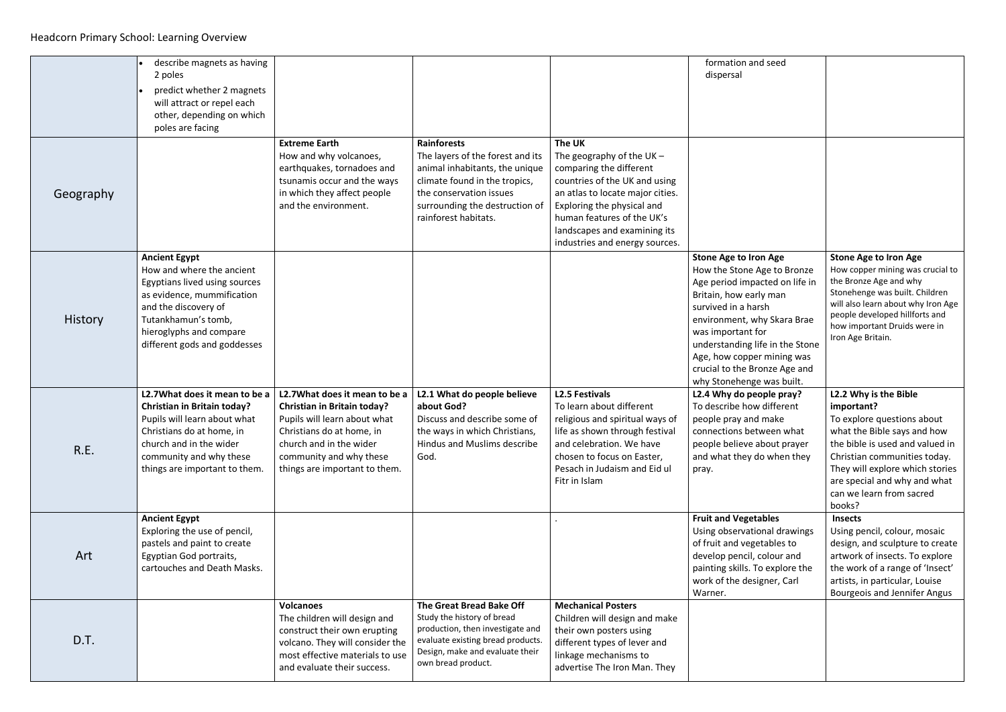|           | describe magnets as having<br>2 poles<br>predict whether 2 magnets<br>will attract or repel each<br>other, depending on which<br>poles are facing                                                                          |                                                                                                                                                                                                                         |                                                                                                                                                                                                                |                                                                                                                                                                                                                                                                     | formation and seed<br>dispersal                                                                                                                                                                                                                                                                                                   |                                                                                                                                                                                                                                                                              |
|-----------|----------------------------------------------------------------------------------------------------------------------------------------------------------------------------------------------------------------------------|-------------------------------------------------------------------------------------------------------------------------------------------------------------------------------------------------------------------------|----------------------------------------------------------------------------------------------------------------------------------------------------------------------------------------------------------------|---------------------------------------------------------------------------------------------------------------------------------------------------------------------------------------------------------------------------------------------------------------------|-----------------------------------------------------------------------------------------------------------------------------------------------------------------------------------------------------------------------------------------------------------------------------------------------------------------------------------|------------------------------------------------------------------------------------------------------------------------------------------------------------------------------------------------------------------------------------------------------------------------------|
| Geography |                                                                                                                                                                                                                            | <b>Extreme Earth</b><br>How and why volcanoes,<br>earthquakes, tornadoes and<br>tsunamis occur and the ways<br>in which they affect people<br>and the environment.                                                      | <b>Rainforests</b><br>The layers of the forest and its<br>animal inhabitants, the unique<br>climate found in the tropics,<br>the conservation issues<br>surrounding the destruction of<br>rainforest habitats. | The UK<br>The geography of the UK $-$<br>comparing the different<br>countries of the UK and using<br>an atlas to locate major cities.<br>Exploring the physical and<br>human features of the UK's<br>landscapes and examining its<br>industries and energy sources. |                                                                                                                                                                                                                                                                                                                                   |                                                                                                                                                                                                                                                                              |
| History   | <b>Ancient Egypt</b><br>How and where the ancient<br>Egyptians lived using sources<br>as evidence, mummification<br>and the discovery of<br>Tutankhamun's tomb,<br>hieroglyphs and compare<br>different gods and goddesses |                                                                                                                                                                                                                         |                                                                                                                                                                                                                |                                                                                                                                                                                                                                                                     | <b>Stone Age to Iron Age</b><br>How the Stone Age to Bronze<br>Age period impacted on life in<br>Britain, how early man<br>survived in a harsh<br>environment, why Skara Brae<br>was important for<br>understanding life in the Stone<br>Age, how copper mining was<br>crucial to the Bronze Age and<br>why Stonehenge was built. | <b>Stone Age to Iron Age</b><br>How copper mining was crucial to<br>the Bronze Age and why<br>Stonehenge was built. Children<br>will also learn about why Iron Age<br>people developed hillforts and<br>how important Druids were in<br>Iron Age Britain.                    |
| R.E.      | L2.7What does it mean to be a<br><b>Christian in Britain today?</b><br>Pupils will learn about what<br>Christians do at home, in<br>church and in the wider<br>community and why these<br>things are important to them.    | L2.7What does it mean to be a<br><b>Christian in Britain today?</b><br>Pupils will learn about what<br>Christians do at home, in<br>church and in the wider<br>community and why these<br>things are important to them. | L2.1 What do people believe<br>about God?<br>Discuss and describe some of<br>the ways in which Christians,<br>Hindus and Muslims describe<br>God.                                                              | <b>L2.5 Festivals</b><br>To learn about different<br>religious and spiritual ways of<br>life as shown through festival<br>and celebration. We have<br>chosen to focus on Easter,<br>Pesach in Judaism and Eid ul<br>Fitr in Islam                                   | L2.4 Why do people pray?<br>To describe how different<br>people pray and make<br>connections between what<br>people believe about prayer<br>and what they do when they<br>pray.                                                                                                                                                   | L2.2 Why is the Bible<br>important?<br>To explore questions about<br>what the Bible says and how<br>the bible is used and valued in<br>Christian communities today.<br>They will explore which stories<br>are special and why and what<br>can we learn from sacred<br>books? |
| Art       | <b>Ancient Egypt</b><br>Exploring the use of pencil,<br>pastels and paint to create<br>Egyptian God portraits,<br>cartouches and Death Masks.                                                                              |                                                                                                                                                                                                                         |                                                                                                                                                                                                                |                                                                                                                                                                                                                                                                     | <b>Fruit and Vegetables</b><br>Using observational drawings<br>of fruit and vegetables to<br>develop pencil, colour and<br>painting skills. To explore the<br>work of the designer, Carl<br>Warner.                                                                                                                               | <b>Insects</b><br>Using pencil, colour, mosaic<br>design, and sculpture to create<br>artwork of insects. To explore<br>the work of a range of 'Insect'<br>artists, in particular, Louise<br>Bourgeois and Jennifer Angus                                                     |
| D.T.      |                                                                                                                                                                                                                            | <b>Volcanoes</b><br>The children will design and<br>construct their own erupting<br>volcano. They will consider the<br>most effective materials to use<br>and evaluate their success.                                   | The Great Bread Bake Off<br>Study the history of bread<br>production, then investigate and<br>evaluate existing bread products.<br>Design, make and evaluate their<br>own bread product.                       | <b>Mechanical Posters</b><br>Children will design and make<br>their own posters using<br>different types of lever and<br>linkage mechanisms to<br>advertise The Iron Man. They                                                                                      |                                                                                                                                                                                                                                                                                                                                   |                                                                                                                                                                                                                                                                              |